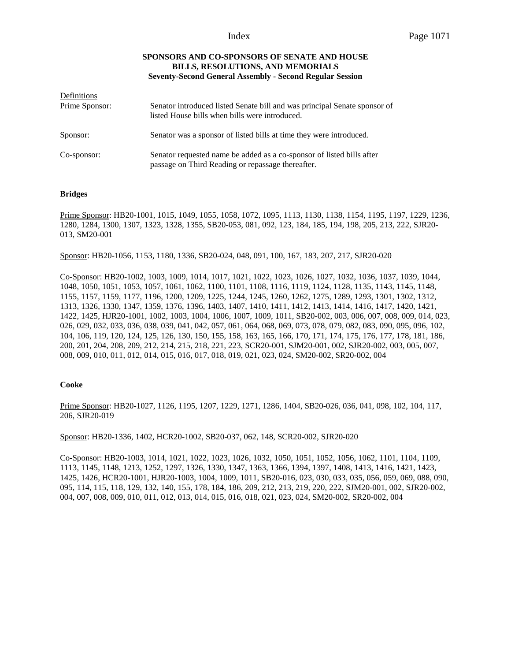# **SPONSORS AND CO-SPONSORS OF SENATE AND HOUSE BILLS, RESOLUTIONS, AND MEMORIALS Seventy-Second General Assembly - Second Regular Session**

| Definitions    |                                                                                                                             |
|----------------|-----------------------------------------------------------------------------------------------------------------------------|
| Prime Sponsor: | Senator introduced listed Senate bill and was principal Senate sponsor of<br>listed House bills when bills were introduced. |
| Sponsor:       | Senator was a sponsor of listed bills at time they were introduced.                                                         |
| Co-sponsor:    | Senator requested name be added as a co-sponsor of listed bills after<br>passage on Third Reading or repassage thereafter.  |

## **Bridges**

Prime Sponsor: HB20-1001, 1015, 1049, 1055, 1058, 1072, 1095, 1113, 1130, 1138, 1154, 1195, 1197, 1229, 1236, 1280, 1284, 1300, 1307, 1323, 1328, 1355, SB20-053, 081, 092, 123, 184, 185, 194, 198, 205, 213, 222, SJR20- 013, SM20-001

Sponsor: HB20-1056, 1153, 1180, 1336, SB20-024, 048, 091, 100, 167, 183, 207, 217, SJR20-020

Co-Sponsor: HB20-1002, 1003, 1009, 1014, 1017, 1021, 1022, 1023, 1026, 1027, 1032, 1036, 1037, 1039, 1044, 1048, 1050, 1051, 1053, 1057, 1061, 1062, 1100, 1101, 1108, 1116, 1119, 1124, 1128, 1135, 1143, 1145, 1148, 1155, 1157, 1159, 1177, 1196, 1200, 1209, 1225, 1244, 1245, 1260, 1262, 1275, 1289, 1293, 1301, 1302, 1312, 1313, 1326, 1330, 1347, 1359, 1376, 1396, 1403, 1407, 1410, 1411, 1412, 1413, 1414, 1416, 1417, 1420, 1421, 1422, 1425, HJR20-1001, 1002, 1003, 1004, 1006, 1007, 1009, 1011, SB20-002, 003, 006, 007, 008, 009, 014, 023, 026, 029, 032, 033, 036, 038, 039, 041, 042, 057, 061, 064, 068, 069, 073, 078, 079, 082, 083, 090, 095, 096, 102, 104, 106, 119, 120, 124, 125, 126, 130, 150, 155, 158, 163, 165, 166, 170, 171, 174, 175, 176, 177, 178, 181, 186, 200, 201, 204, 208, 209, 212, 214, 215, 218, 221, 223, SCR20-001, SJM20-001, 002, SJR20-002, 003, 005, 007, 008, 009, 010, 011, 012, 014, 015, 016, 017, 018, 019, 021, 023, 024, SM20-002, SR20-002, 004

## **Cooke**

Prime Sponsor: HB20-1027, 1126, 1195, 1207, 1229, 1271, 1286, 1404, SB20-026, 036, 041, 098, 102, 104, 117, 206, SJR20-019

Sponsor: HB20-1336, 1402, HCR20-1002, SB20-037, 062, 148, SCR20-002, SJR20-020

Co-Sponsor: HB20-1003, 1014, 1021, 1022, 1023, 1026, 1032, 1050, 1051, 1052, 1056, 1062, 1101, 1104, 1109, 1113, 1145, 1148, 1213, 1252, 1297, 1326, 1330, 1347, 1363, 1366, 1394, 1397, 1408, 1413, 1416, 1421, 1423, 1425, 1426, HCR20-1001, HJR20-1003, 1004, 1009, 1011, SB20-016, 023, 030, 033, 035, 056, 059, 069, 088, 090, 095, 114, 115, 118, 129, 132, 140, 155, 178, 184, 186, 209, 212, 213, 219, 220, 222, SJM20-001, 002, SJR20-002, 004, 007, 008, 009, 010, 011, 012, 013, 014, 015, 016, 018, 021, 023, 024, SM20-002, SR20-002, 004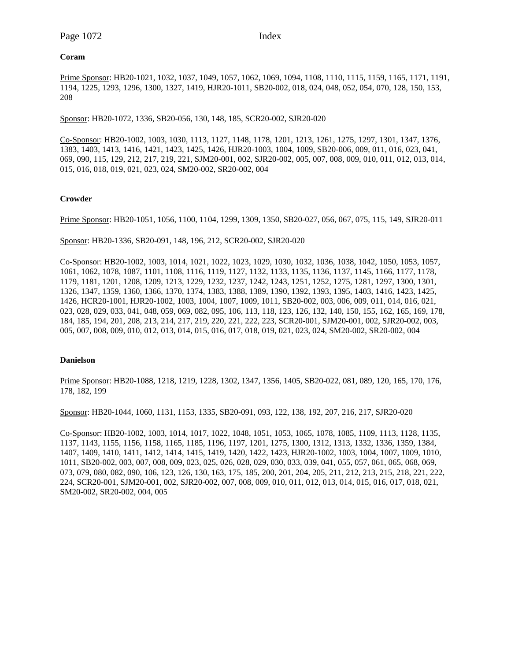## **Coram**

Prime Sponsor: HB20-1021, 1032, 1037, 1049, 1057, 1062, 1069, 1094, 1108, 1110, 1115, 1159, 1165, 1171, 1191, 1194, 1225, 1293, 1296, 1300, 1327, 1419, HJR20-1011, SB20-002, 018, 024, 048, 052, 054, 070, 128, 150, 153, 208

Sponsor: HB20-1072, 1336, SB20-056, 130, 148, 185, SCR20-002, SJR20-020

Co-Sponsor: HB20-1002, 1003, 1030, 1113, 1127, 1148, 1178, 1201, 1213, 1261, 1275, 1297, 1301, 1347, 1376, 1383, 1403, 1413, 1416, 1421, 1423, 1425, 1426, HJR20-1003, 1004, 1009, SB20-006, 009, 011, 016, 023, 041, 069, 090, 115, 129, 212, 217, 219, 221, SJM20-001, 002, SJR20-002, 005, 007, 008, 009, 010, 011, 012, 013, 014, 015, 016, 018, 019, 021, 023, 024, SM20-002, SR20-002, 004

# **Crowder**

Prime Sponsor: HB20-1051, 1056, 1100, 1104, 1299, 1309, 1350, SB20-027, 056, 067, 075, 115, 149, SJR20-011

Sponsor: HB20-1336, SB20-091, 148, 196, 212, SCR20-002, SJR20-020

Co-Sponsor: HB20-1002, 1003, 1014, 1021, 1022, 1023, 1029, 1030, 1032, 1036, 1038, 1042, 1050, 1053, 1057, 1061, 1062, 1078, 1087, 1101, 1108, 1116, 1119, 1127, 1132, 1133, 1135, 1136, 1137, 1145, 1166, 1177, 1178, 1179, 1181, 1201, 1208, 1209, 1213, 1229, 1232, 1237, 1242, 1243, 1251, 1252, 1275, 1281, 1297, 1300, 1301, 1326, 1347, 1359, 1360, 1366, 1370, 1374, 1383, 1388, 1389, 1390, 1392, 1393, 1395, 1403, 1416, 1423, 1425, 1426, HCR20-1001, HJR20-1002, 1003, 1004, 1007, 1009, 1011, SB20-002, 003, 006, 009, 011, 014, 016, 021, 023, 028, 029, 033, 041, 048, 059, 069, 082, 095, 106, 113, 118, 123, 126, 132, 140, 150, 155, 162, 165, 169, 178, 184, 185, 194, 201, 208, 213, 214, 217, 219, 220, 221, 222, 223, SCR20-001, SJM20-001, 002, SJR20-002, 003, 005, 007, 008, 009, 010, 012, 013, 014, 015, 016, 017, 018, 019, 021, 023, 024, SM20-002, SR20-002, 004

## **Danielson**

Prime Sponsor: HB20-1088, 1218, 1219, 1228, 1302, 1347, 1356, 1405, SB20-022, 081, 089, 120, 165, 170, 176, 178, 182, 199

Sponsor: HB20-1044, 1060, 1131, 1153, 1335, SB20-091, 093, 122, 138, 192, 207, 216, 217, SJR20-020

Co-Sponsor: HB20-1002, 1003, 1014, 1017, 1022, 1048, 1051, 1053, 1065, 1078, 1085, 1109, 1113, 1128, 1135, 1137, 1143, 1155, 1156, 1158, 1165, 1185, 1196, 1197, 1201, 1275, 1300, 1312, 1313, 1332, 1336, 1359, 1384, 1407, 1409, 1410, 1411, 1412, 1414, 1415, 1419, 1420, 1422, 1423, HJR20-1002, 1003, 1004, 1007, 1009, 1010, 1011, SB20-002, 003, 007, 008, 009, 023, 025, 026, 028, 029, 030, 033, 039, 041, 055, 057, 061, 065, 068, 069, 073, 079, 080, 082, 090, 106, 123, 126, 130, 163, 175, 185, 200, 201, 204, 205, 211, 212, 213, 215, 218, 221, 222, 224, SCR20-001, SJM20-001, 002, SJR20-002, 007, 008, 009, 010, 011, 012, 013, 014, 015, 016, 017, 018, 021, SM20-002, SR20-002, 004, 005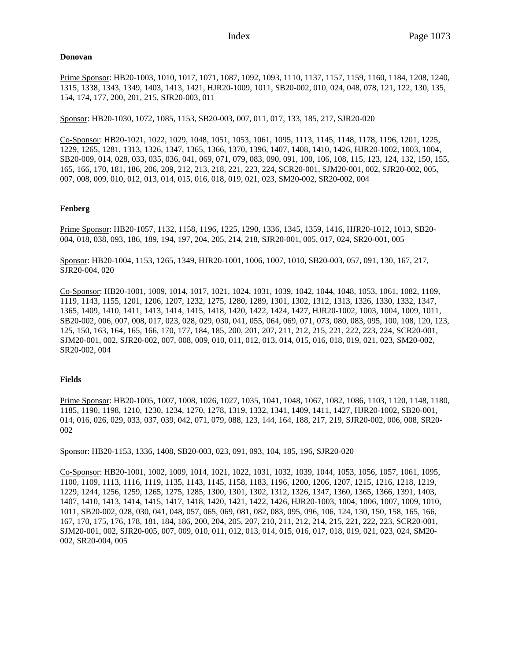## **Donovan**

Prime Sponsor: HB20-1003, 1010, 1017, 1071, 1087, 1092, 1093, 1110, 1137, 1157, 1159, 1160, 1184, 1208, 1240, 1315, 1338, 1343, 1349, 1403, 1413, 1421, HJR20-1009, 1011, SB20-002, 010, 024, 048, 078, 121, 122, 130, 135, 154, 174, 177, 200, 201, 215, SJR20-003, 011

Sponsor: HB20-1030, 1072, 1085, 1153, SB20-003, 007, 011, 017, 133, 185, 217, SJR20-020

Co-Sponsor: HB20-1021, 1022, 1029, 1048, 1051, 1053, 1061, 1095, 1113, 1145, 1148, 1178, 1196, 1201, 1225, 1229, 1265, 1281, 1313, 1326, 1347, 1365, 1366, 1370, 1396, 1407, 1408, 1410, 1426, HJR20-1002, 1003, 1004, SB20-009, 014, 028, 033, 035, 036, 041, 069, 071, 079, 083, 090, 091, 100, 106, 108, 115, 123, 124, 132, 150, 155, 165, 166, 170, 181, 186, 206, 209, 212, 213, 218, 221, 223, 224, SCR20-001, SJM20-001, 002, SJR20-002, 005, 007, 008, 009, 010, 012, 013, 014, 015, 016, 018, 019, 021, 023, SM20-002, SR20-002, 004

## **Fenberg**

Prime Sponsor: HB20-1057, 1132, 1158, 1196, 1225, 1290, 1336, 1345, 1359, 1416, HJR20-1012, 1013, SB20- 004, 018, 038, 093, 186, 189, 194, 197, 204, 205, 214, 218, SJR20-001, 005, 017, 024, SR20-001, 005

Sponsor: HB20-1004, 1153, 1265, 1349, HJR20-1001, 1006, 1007, 1010, SB20-003, 057, 091, 130, 167, 217, SJR20-004, 020

Co-Sponsor: HB20-1001, 1009, 1014, 1017, 1021, 1024, 1031, 1039, 1042, 1044, 1048, 1053, 1061, 1082, 1109, 1119, 1143, 1155, 1201, 1206, 1207, 1232, 1275, 1280, 1289, 1301, 1302, 1312, 1313, 1326, 1330, 1332, 1347, 1365, 1409, 1410, 1411, 1413, 1414, 1415, 1418, 1420, 1422, 1424, 1427, HJR20-1002, 1003, 1004, 1009, 1011, SB20-002, 006, 007, 008, 017, 023, 028, 029, 030, 041, 055, 064, 069, 071, 073, 080, 083, 095, 100, 108, 120, 123, 125, 150, 163, 164, 165, 166, 170, 177, 184, 185, 200, 201, 207, 211, 212, 215, 221, 222, 223, 224, SCR20-001, SJM20-001, 002, SJR20-002, 007, 008, 009, 010, 011, 012, 013, 014, 015, 016, 018, 019, 021, 023, SM20-002, SR20-002, 004

## **Fields**

Prime Sponsor: HB20-1005, 1007, 1008, 1026, 1027, 1035, 1041, 1048, 1067, 1082, 1086, 1103, 1120, 1148, 1180, 1185, 1190, 1198, 1210, 1230, 1234, 1270, 1278, 1319, 1332, 1341, 1409, 1411, 1427, HJR20-1002, SB20-001, 014, 016, 026, 029, 033, 037, 039, 042, 071, 079, 088, 123, 144, 164, 188, 217, 219, SJR20-002, 006, 008, SR20- 002

Sponsor: HB20-1153, 1336, 1408, SB20-003, 023, 091, 093, 104, 185, 196, SJR20-020

Co-Sponsor: HB20-1001, 1002, 1009, 1014, 1021, 1022, 1031, 1032, 1039, 1044, 1053, 1056, 1057, 1061, 1095, 1100, 1109, 1113, 1116, 1119, 1135, 1143, 1145, 1158, 1183, 1196, 1200, 1206, 1207, 1215, 1216, 1218, 1219, 1229, 1244, 1256, 1259, 1265, 1275, 1285, 1300, 1301, 1302, 1312, 1326, 1347, 1360, 1365, 1366, 1391, 1403, 1407, 1410, 1413, 1414, 1415, 1417, 1418, 1420, 1421, 1422, 1426, HJR20-1003, 1004, 1006, 1007, 1009, 1010, 1011, SB20-002, 028, 030, 041, 048, 057, 065, 069, 081, 082, 083, 095, 096, 106, 124, 130, 150, 158, 165, 166, 167, 170, 175, 176, 178, 181, 184, 186, 200, 204, 205, 207, 210, 211, 212, 214, 215, 221, 222, 223, SCR20-001, SJM20-001, 002, SJR20-005, 007, 009, 010, 011, 012, 013, 014, 015, 016, 017, 018, 019, 021, 023, 024, SM20- 002, SR20-004, 005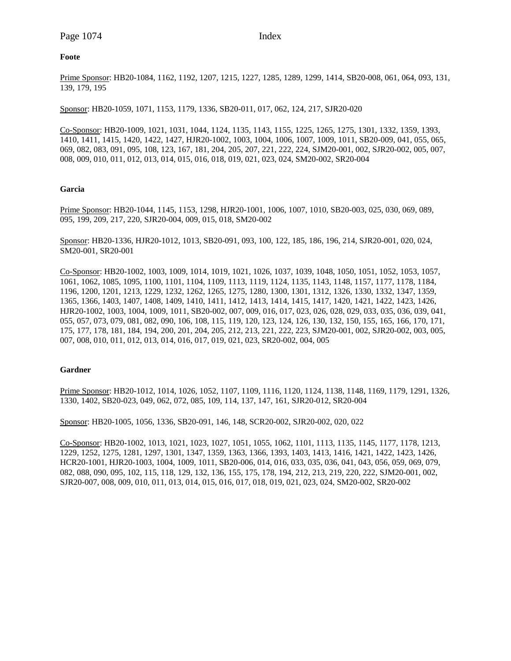## **Foote**

Prime Sponsor: HB20-1084, 1162, 1192, 1207, 1215, 1227, 1285, 1289, 1299, 1414, SB20-008, 061, 064, 093, 131, 139, 179, 195

Sponsor: HB20-1059, 1071, 1153, 1179, 1336, SB20-011, 017, 062, 124, 217, SJR20-020

Co-Sponsor: HB20-1009, 1021, 1031, 1044, 1124, 1135, 1143, 1155, 1225, 1265, 1275, 1301, 1332, 1359, 1393, 1410, 1411, 1415, 1420, 1422, 1427, HJR20-1002, 1003, 1004, 1006, 1007, 1009, 1011, SB20-009, 041, 055, 065, 069, 082, 083, 091, 095, 108, 123, 167, 181, 204, 205, 207, 221, 222, 224, SJM20-001, 002, SJR20-002, 005, 007, 008, 009, 010, 011, 012, 013, 014, 015, 016, 018, 019, 021, 023, 024, SM20-002, SR20-004

#### **Garcia**

Prime Sponsor: HB20-1044, 1145, 1153, 1298, HJR20-1001, 1006, 1007, 1010, SB20-003, 025, 030, 069, 089, 095, 199, 209, 217, 220, SJR20-004, 009, 015, 018, SM20-002

Sponsor: HB20-1336, HJR20-1012, 1013, SB20-091, 093, 100, 122, 185, 186, 196, 214, SJR20-001, 020, 024, SM20-001, SR20-001

Co-Sponsor: HB20-1002, 1003, 1009, 1014, 1019, 1021, 1026, 1037, 1039, 1048, 1050, 1051, 1052, 1053, 1057, 1061, 1062, 1085, 1095, 1100, 1101, 1104, 1109, 1113, 1119, 1124, 1135, 1143, 1148, 1157, 1177, 1178, 1184, 1196, 1200, 1201, 1213, 1229, 1232, 1262, 1265, 1275, 1280, 1300, 1301, 1312, 1326, 1330, 1332, 1347, 1359, 1365, 1366, 1403, 1407, 1408, 1409, 1410, 1411, 1412, 1413, 1414, 1415, 1417, 1420, 1421, 1422, 1423, 1426, HJR20-1002, 1003, 1004, 1009, 1011, SB20-002, 007, 009, 016, 017, 023, 026, 028, 029, 033, 035, 036, 039, 041, 055, 057, 073, 079, 081, 082, 090, 106, 108, 115, 119, 120, 123, 124, 126, 130, 132, 150, 155, 165, 166, 170, 171, 175, 177, 178, 181, 184, 194, 200, 201, 204, 205, 212, 213, 221, 222, 223, SJM20-001, 002, SJR20-002, 003, 005, 007, 008, 010, 011, 012, 013, 014, 016, 017, 019, 021, 023, SR20-002, 004, 005

#### **Gardner**

Prime Sponsor: HB20-1012, 1014, 1026, 1052, 1107, 1109, 1116, 1120, 1124, 1138, 1148, 1169, 1179, 1291, 1326, 1330, 1402, SB20-023, 049, 062, 072, 085, 109, 114, 137, 147, 161, SJR20-012, SR20-004

Sponsor: HB20-1005, 1056, 1336, SB20-091, 146, 148, SCR20-002, SJR20-002, 020, 022

Co-Sponsor: HB20-1002, 1013, 1021, 1023, 1027, 1051, 1055, 1062, 1101, 1113, 1135, 1145, 1177, 1178, 1213, 1229, 1252, 1275, 1281, 1297, 1301, 1347, 1359, 1363, 1366, 1393, 1403, 1413, 1416, 1421, 1422, 1423, 1426, HCR20-1001, HJR20-1003, 1004, 1009, 1011, SB20-006, 014, 016, 033, 035, 036, 041, 043, 056, 059, 069, 079, 082, 088, 090, 095, 102, 115, 118, 129, 132, 136, 155, 175, 178, 194, 212, 213, 219, 220, 222, SJM20-001, 002, SJR20-007, 008, 009, 010, 011, 013, 014, 015, 016, 017, 018, 019, 021, 023, 024, SM20-002, SR20-002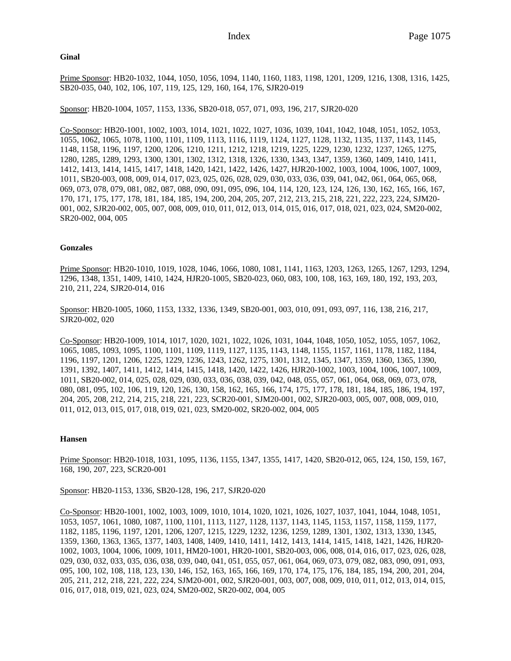Prime Sponsor: HB20-1032, 1044, 1050, 1056, 1094, 1140, 1160, 1183, 1198, 1201, 1209, 1216, 1308, 1316, 1425, SB20-035, 040, 102, 106, 107, 119, 125, 129, 160, 164, 176, SJR20-019

Sponsor: HB20-1004, 1057, 1153, 1336, SB20-018, 057, 071, 093, 196, 217, SJR20-020

Co-Sponsor: HB20-1001, 1002, 1003, 1014, 1021, 1022, 1027, 1036, 1039, 1041, 1042, 1048, 1051, 1052, 1053, 1055, 1062, 1065, 1078, 1100, 1101, 1109, 1113, 1116, 1119, 1124, 1127, 1128, 1132, 1135, 1137, 1143, 1145, 1148, 1158, 1196, 1197, 1200, 1206, 1210, 1211, 1212, 1218, 1219, 1225, 1229, 1230, 1232, 1237, 1265, 1275, 1280, 1285, 1289, 1293, 1300, 1301, 1302, 1312, 1318, 1326, 1330, 1343, 1347, 1359, 1360, 1409, 1410, 1411, 1412, 1413, 1414, 1415, 1417, 1418, 1420, 1421, 1422, 1426, 1427, HJR20-1002, 1003, 1004, 1006, 1007, 1009, 1011, SB20-003, 008, 009, 014, 017, 023, 025, 026, 028, 029, 030, 033, 036, 039, 041, 042, 061, 064, 065, 068, 069, 073, 078, 079, 081, 082, 087, 088, 090, 091, 095, 096, 104, 114, 120, 123, 124, 126, 130, 162, 165, 166, 167, 170, 171, 175, 177, 178, 181, 184, 185, 194, 200, 204, 205, 207, 212, 213, 215, 218, 221, 222, 223, 224, SJM20- 001, 002, SJR20-002, 005, 007, 008, 009, 010, 011, 012, 013, 014, 015, 016, 017, 018, 021, 023, 024, SM20-002, SR20-002, 004, 005

## **Gonzales**

**Ginal**

Prime Sponsor: HB20-1010, 1019, 1028, 1046, 1066, 1080, 1081, 1141, 1163, 1203, 1263, 1265, 1267, 1293, 1294, 1296, 1348, 1351, 1409, 1410, 1424, HJR20-1005, SB20-023, 060, 083, 100, 108, 163, 169, 180, 192, 193, 203, 210, 211, 224, SJR20-014, 016

Sponsor: HB20-1005, 1060, 1153, 1332, 1336, 1349, SB20-001, 003, 010, 091, 093, 097, 116, 138, 216, 217, SJR20-002, 020

Co-Sponsor: HB20-1009, 1014, 1017, 1020, 1021, 1022, 1026, 1031, 1044, 1048, 1050, 1052, 1055, 1057, 1062, 1065, 1085, 1093, 1095, 1100, 1101, 1109, 1119, 1127, 1135, 1143, 1148, 1155, 1157, 1161, 1178, 1182, 1184, 1196, 1197, 1201, 1206, 1225, 1229, 1236, 1243, 1262, 1275, 1301, 1312, 1345, 1347, 1359, 1360, 1365, 1390, 1391, 1392, 1407, 1411, 1412, 1414, 1415, 1418, 1420, 1422, 1426, HJR20-1002, 1003, 1004, 1006, 1007, 1009, 1011, SB20-002, 014, 025, 028, 029, 030, 033, 036, 038, 039, 042, 048, 055, 057, 061, 064, 068, 069, 073, 078, 080, 081, 095, 102, 106, 119, 120, 126, 130, 158, 162, 165, 166, 174, 175, 177, 178, 181, 184, 185, 186, 194, 197, 204, 205, 208, 212, 214, 215, 218, 221, 223, SCR20-001, SJM20-001, 002, SJR20-003, 005, 007, 008, 009, 010, 011, 012, 013, 015, 017, 018, 019, 021, 023, SM20-002, SR20-002, 004, 005

## **Hansen**

Prime Sponsor: HB20-1018, 1031, 1095, 1136, 1155, 1347, 1355, 1417, 1420, SB20-012, 065, 124, 150, 159, 167, 168, 190, 207, 223, SCR20-001

Sponsor: HB20-1153, 1336, SB20-128, 196, 217, SJR20-020

Co-Sponsor: HB20-1001, 1002, 1003, 1009, 1010, 1014, 1020, 1021, 1026, 1027, 1037, 1041, 1044, 1048, 1051, 1053, 1057, 1061, 1080, 1087, 1100, 1101, 1113, 1127, 1128, 1137, 1143, 1145, 1153, 1157, 1158, 1159, 1177, 1182, 1185, 1196, 1197, 1201, 1206, 1207, 1215, 1229, 1232, 1236, 1259, 1289, 1301, 1302, 1313, 1330, 1345, 1359, 1360, 1363, 1365, 1377, 1403, 1408, 1409, 1410, 1411, 1412, 1413, 1414, 1415, 1418, 1421, 1426, HJR20- 1002, 1003, 1004, 1006, 1009, 1011, HM20-1001, HR20-1001, SB20-003, 006, 008, 014, 016, 017, 023, 026, 028, 029, 030, 032, 033, 035, 036, 038, 039, 040, 041, 051, 055, 057, 061, 064, 069, 073, 079, 082, 083, 090, 091, 093, 095, 100, 102, 108, 118, 123, 130, 146, 152, 163, 165, 166, 169, 170, 174, 175, 176, 184, 185, 194, 200, 201, 204, 205, 211, 212, 218, 221, 222, 224, SJM20-001, 002, SJR20-001, 003, 007, 008, 009, 010, 011, 012, 013, 014, 015, 016, 017, 018, 019, 021, 023, 024, SM20-002, SR20-002, 004, 005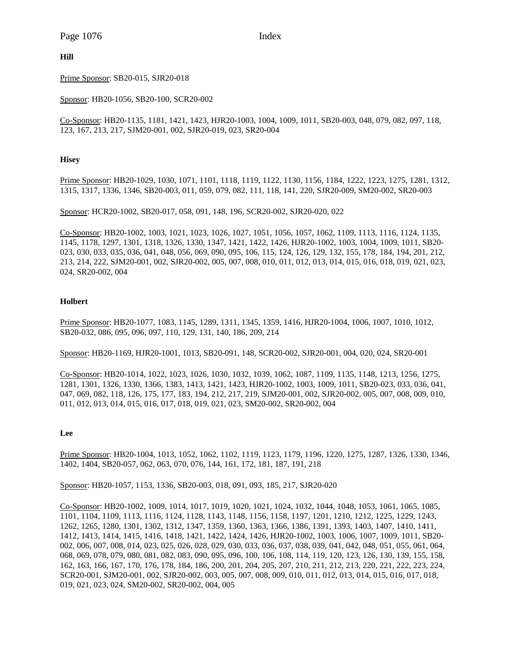# **Hill**

Prime Sponsor: SB20-015, SJR20-018

Sponsor: HB20-1056, SB20-100, SCR20-002

Co-Sponsor: HB20-1135, 1181, 1421, 1423, HJR20-1003, 1004, 1009, 1011, SB20-003, 048, 079, 082, 097, 118, 123, 167, 213, 217, SJM20-001, 002, SJR20-019, 023, SR20-004

# **Hisey**

Prime Sponsor: HB20-1029, 1030, 1071, 1101, 1118, 1119, 1122, 1130, 1156, 1184, 1222, 1223, 1275, 1281, 1312, 1315, 1317, 1336, 1346, SB20-003, 011, 059, 079, 082, 111, 118, 141, 220, SJR20-009, SM20-002, SR20-003

Sponsor: HCR20-1002, SB20-017, 058, 091, 148, 196, SCR20-002, SJR20-020, 022

Co-Sponsor: HB20-1002, 1003, 1021, 1023, 1026, 1027, 1051, 1056, 1057, 1062, 1109, 1113, 1116, 1124, 1135, 1145, 1178, 1297, 1301, 1318, 1326, 1330, 1347, 1421, 1422, 1426, HJR20-1002, 1003, 1004, 1009, 1011, SB20- 023, 030, 033, 035, 036, 041, 048, 056, 069, 090, 095, 106, 115, 124, 126, 129, 132, 155, 178, 184, 194, 201, 212, 213, 214, 222, SJM20-001, 002, SJR20-002, 005, 007, 008, 010, 011, 012, 013, 014, 015, 016, 018, 019, 021, 023, 024, SR20-002, 004

## **Holbert**

Prime Sponsor: HB20-1077, 1083, 1145, 1289, 1311, 1345, 1359, 1416, HJR20-1004, 1006, 1007, 1010, 1012, SB20-032, 086, 095, 096, 097, 110, 129, 131, 140, 186, 209, 214

Sponsor: HB20-1169, HJR20-1001, 1013, SB20-091, 148, SCR20-002, SJR20-001, 004, 020, 024, SR20-001

Co-Sponsor: HB20-1014, 1022, 1023, 1026, 1030, 1032, 1039, 1062, 1087, 1109, 1135, 1148, 1213, 1256, 1275, 1281, 1301, 1326, 1330, 1366, 1383, 1413, 1421, 1423, HJR20-1002, 1003, 1009, 1011, SB20-023, 033, 036, 041, 047, 069, 082, 118, 126, 175, 177, 183, 194, 212, 217, 219, SJM20-001, 002, SJR20-002, 005, 007, 008, 009, 010, 011, 012, 013, 014, 015, 016, 017, 018, 019, 021, 023, SM20-002, SR20-002, 004

#### **Lee**

Prime Sponsor: HB20-1004, 1013, 1052, 1062, 1102, 1119, 1123, 1179, 1196, 1220, 1275, 1287, 1326, 1330, 1346, 1402, 1404, SB20-057, 062, 063, 070, 076, 144, 161, 172, 181, 187, 191, 218

Sponsor: HB20-1057, 1153, 1336, SB20-003, 018, 091, 093, 185, 217, SJR20-020

Co-Sponsor: HB20-1002, 1009, 1014, 1017, 1019, 1020, 1021, 1024, 1032, 1044, 1048, 1053, 1061, 1065, 1085, 1101, 1104, 1109, 1113, 1116, 1124, 1128, 1143, 1148, 1156, 1158, 1197, 1201, 1210, 1212, 1225, 1229, 1243, 1262, 1265, 1280, 1301, 1302, 1312, 1347, 1359, 1360, 1363, 1366, 1386, 1391, 1393, 1403, 1407, 1410, 1411, 1412, 1413, 1414, 1415, 1416, 1418, 1421, 1422, 1424, 1426, HJR20-1002, 1003, 1006, 1007, 1009, 1011, SB20- 002, 006, 007, 008, 014, 023, 025, 026, 028, 029, 030, 033, 036, 037, 038, 039, 041, 042, 048, 051, 055, 061, 064, 068, 069, 078, 079, 080, 081, 082, 083, 090, 095, 096, 100, 106, 108, 114, 119, 120, 123, 126, 130, 139, 155, 158, 162, 163, 166, 167, 170, 176, 178, 184, 186, 200, 201, 204, 205, 207, 210, 211, 212, 213, 220, 221, 222, 223, 224, SCR20-001, SJM20-001, 002, SJR20-002, 003, 005, 007, 008, 009, 010, 011, 012, 013, 014, 015, 016, 017, 018, 019, 021, 023, 024, SM20-002, SR20-002, 004, 005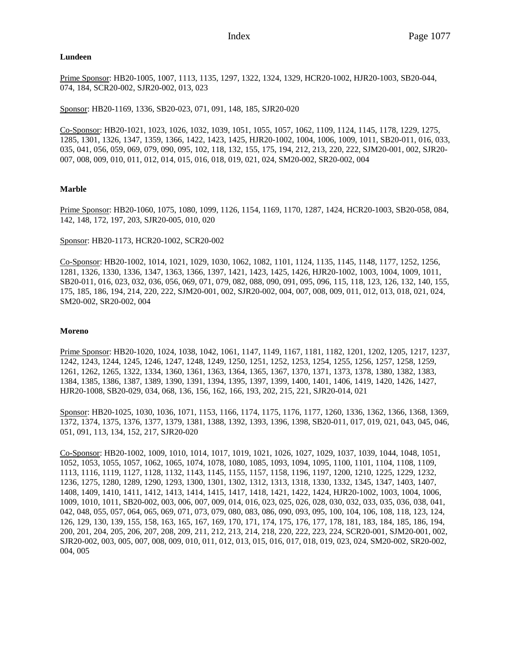## **Lundeen**

Prime Sponsor: HB20-1005, 1007, 1113, 1135, 1297, 1322, 1324, 1329, HCR20-1002, HJR20-1003, SB20-044, 074, 184, SCR20-002, SJR20-002, 013, 023

Sponsor: HB20-1169, 1336, SB20-023, 071, 091, 148, 185, SJR20-020

Co-Sponsor: HB20-1021, 1023, 1026, 1032, 1039, 1051, 1055, 1057, 1062, 1109, 1124, 1145, 1178, 1229, 1275, 1285, 1301, 1326, 1347, 1359, 1366, 1422, 1423, 1425, HJR20-1002, 1004, 1006, 1009, 1011, SB20-011, 016, 033, 035, 041, 056, 059, 069, 079, 090, 095, 102, 118, 132, 155, 175, 194, 212, 213, 220, 222, SJM20-001, 002, SJR20- 007, 008, 009, 010, 011, 012, 014, 015, 016, 018, 019, 021, 024, SM20-002, SR20-002, 004

# **Marble**

Prime Sponsor: HB20-1060, 1075, 1080, 1099, 1126, 1154, 1169, 1170, 1287, 1424, HCR20-1003, SB20-058, 084, 142, 148, 172, 197, 203, SJR20-005, 010, 020

## Sponsor: HB20-1173, HCR20-1002, SCR20-002

Co-Sponsor: HB20-1002, 1014, 1021, 1029, 1030, 1062, 1082, 1101, 1124, 1135, 1145, 1148, 1177, 1252, 1256, 1281, 1326, 1330, 1336, 1347, 1363, 1366, 1397, 1421, 1423, 1425, 1426, HJR20-1002, 1003, 1004, 1009, 1011, SB20-011, 016, 023, 032, 036, 056, 069, 071, 079, 082, 088, 090, 091, 095, 096, 115, 118, 123, 126, 132, 140, 155, 175, 185, 186, 194, 214, 220, 222, SJM20-001, 002, SJR20-002, 004, 007, 008, 009, 011, 012, 013, 018, 021, 024, SM20-002, SR20-002, 004

## **Moreno**

Prime Sponsor: HB20-1020, 1024, 1038, 1042, 1061, 1147, 1149, 1167, 1181, 1182, 1201, 1202, 1205, 1217, 1237, 1242, 1243, 1244, 1245, 1246, 1247, 1248, 1249, 1250, 1251, 1252, 1253, 1254, 1255, 1256, 1257, 1258, 1259, 1261, 1262, 1265, 1322, 1334, 1360, 1361, 1363, 1364, 1365, 1367, 1370, 1371, 1373, 1378, 1380, 1382, 1383, 1384, 1385, 1386, 1387, 1389, 1390, 1391, 1394, 1395, 1397, 1399, 1400, 1401, 1406, 1419, 1420, 1426, 1427, HJR20-1008, SB20-029, 034, 068, 136, 156, 162, 166, 193, 202, 215, 221, SJR20-014, 021

Sponsor: HB20-1025, 1030, 1036, 1071, 1153, 1166, 1174, 1175, 1176, 1177, 1260, 1336, 1362, 1366, 1368, 1369, 1372, 1374, 1375, 1376, 1377, 1379, 1381, 1388, 1392, 1393, 1396, 1398, SB20-011, 017, 019, 021, 043, 045, 046, 051, 091, 113, 134, 152, 217, SJR20-020

Co-Sponsor: HB20-1002, 1009, 1010, 1014, 1017, 1019, 1021, 1026, 1027, 1029, 1037, 1039, 1044, 1048, 1051, 1052, 1053, 1055, 1057, 1062, 1065, 1074, 1078, 1080, 1085, 1093, 1094, 1095, 1100, 1101, 1104, 1108, 1109, 1113, 1116, 1119, 1127, 1128, 1132, 1143, 1145, 1155, 1157, 1158, 1196, 1197, 1200, 1210, 1225, 1229, 1232, 1236, 1275, 1280, 1289, 1290, 1293, 1300, 1301, 1302, 1312, 1313, 1318, 1330, 1332, 1345, 1347, 1403, 1407, 1408, 1409, 1410, 1411, 1412, 1413, 1414, 1415, 1417, 1418, 1421, 1422, 1424, HJR20-1002, 1003, 1004, 1006, 1009, 1010, 1011, SB20-002, 003, 006, 007, 009, 014, 016, 023, 025, 026, 028, 030, 032, 033, 035, 036, 038, 041, 042, 048, 055, 057, 064, 065, 069, 071, 073, 079, 080, 083, 086, 090, 093, 095, 100, 104, 106, 108, 118, 123, 124, 126, 129, 130, 139, 155, 158, 163, 165, 167, 169, 170, 171, 174, 175, 176, 177, 178, 181, 183, 184, 185, 186, 194, 200, 201, 204, 205, 206, 207, 208, 209, 211, 212, 213, 214, 218, 220, 222, 223, 224, SCR20-001, SJM20-001, 002, SJR20-002, 003, 005, 007, 008, 009, 010, 011, 012, 013, 015, 016, 017, 018, 019, 023, 024, SM20-002, SR20-002, 004, 005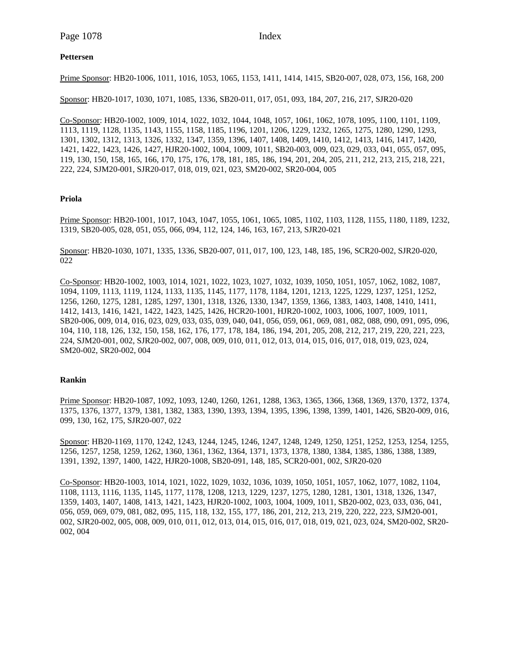# **Pettersen**

Prime Sponsor: HB20-1006, 1011, 1016, 1053, 1065, 1153, 1411, 1414, 1415, SB20-007, 028, 073, 156, 168, 200

Sponsor: HB20-1017, 1030, 1071, 1085, 1336, SB20-011, 017, 051, 093, 184, 207, 216, 217, SJR20-020

Co-Sponsor: HB20-1002, 1009, 1014, 1022, 1032, 1044, 1048, 1057, 1061, 1062, 1078, 1095, 1100, 1101, 1109, 1113, 1119, 1128, 1135, 1143, 1155, 1158, 1185, 1196, 1201, 1206, 1229, 1232, 1265, 1275, 1280, 1290, 1293, 1301, 1302, 1312, 1313, 1326, 1332, 1347, 1359, 1396, 1407, 1408, 1409, 1410, 1412, 1413, 1416, 1417, 1420, 1421, 1422, 1423, 1426, 1427, HJR20-1002, 1004, 1009, 1011, SB20-003, 009, 023, 029, 033, 041, 055, 057, 095, 119, 130, 150, 158, 165, 166, 170, 175, 176, 178, 181, 185, 186, 194, 201, 204, 205, 211, 212, 213, 215, 218, 221, 222, 224, SJM20-001, SJR20-017, 018, 019, 021, 023, SM20-002, SR20-004, 005

## **Priola**

Prime Sponsor: HB20-1001, 1017, 1043, 1047, 1055, 1061, 1065, 1085, 1102, 1103, 1128, 1155, 1180, 1189, 1232, 1319, SB20-005, 028, 051, 055, 066, 094, 112, 124, 146, 163, 167, 213, SJR20-021

Sponsor: HB20-1030, 1071, 1335, 1336, SB20-007, 011, 017, 100, 123, 148, 185, 196, SCR20-002, SJR20-020, 022

Co-Sponsor: HB20-1002, 1003, 1014, 1021, 1022, 1023, 1027, 1032, 1039, 1050, 1051, 1057, 1062, 1082, 1087, 1094, 1109, 1113, 1119, 1124, 1133, 1135, 1145, 1177, 1178, 1184, 1201, 1213, 1225, 1229, 1237, 1251, 1252, 1256, 1260, 1275, 1281, 1285, 1297, 1301, 1318, 1326, 1330, 1347, 1359, 1366, 1383, 1403, 1408, 1410, 1411, 1412, 1413, 1416, 1421, 1422, 1423, 1425, 1426, HCR20-1001, HJR20-1002, 1003, 1006, 1007, 1009, 1011, SB20-006, 009, 014, 016, 023, 029, 033, 035, 039, 040, 041, 056, 059, 061, 069, 081, 082, 088, 090, 091, 095, 096, 104, 110, 118, 126, 132, 150, 158, 162, 176, 177, 178, 184, 186, 194, 201, 205, 208, 212, 217, 219, 220, 221, 223, 224, SJM20-001, 002, SJR20-002, 007, 008, 009, 010, 011, 012, 013, 014, 015, 016, 017, 018, 019, 023, 024, SM20-002, SR20-002, 004

#### **Rankin**

Prime Sponsor: HB20-1087, 1092, 1093, 1240, 1260, 1261, 1288, 1363, 1365, 1366, 1368, 1369, 1370, 1372, 1374, 1375, 1376, 1377, 1379, 1381, 1382, 1383, 1390, 1393, 1394, 1395, 1396, 1398, 1399, 1401, 1426, SB20-009, 016, 099, 130, 162, 175, SJR20-007, 022

Sponsor: HB20-1169, 1170, 1242, 1243, 1244, 1245, 1246, 1247, 1248, 1249, 1250, 1251, 1252, 1253, 1254, 1255, 1256, 1257, 1258, 1259, 1262, 1360, 1361, 1362, 1364, 1371, 1373, 1378, 1380, 1384, 1385, 1386, 1388, 1389, 1391, 1392, 1397, 1400, 1422, HJR20-1008, SB20-091, 148, 185, SCR20-001, 002, SJR20-020

Co-Sponsor: HB20-1003, 1014, 1021, 1022, 1029, 1032, 1036, 1039, 1050, 1051, 1057, 1062, 1077, 1082, 1104, 1108, 1113, 1116, 1135, 1145, 1177, 1178, 1208, 1213, 1229, 1237, 1275, 1280, 1281, 1301, 1318, 1326, 1347, 1359, 1403, 1407, 1408, 1413, 1421, 1423, HJR20-1002, 1003, 1004, 1009, 1011, SB20-002, 023, 033, 036, 041, 056, 059, 069, 079, 081, 082, 095, 115, 118, 132, 155, 177, 186, 201, 212, 213, 219, 220, 222, 223, SJM20-001, 002, SJR20-002, 005, 008, 009, 010, 011, 012, 013, 014, 015, 016, 017, 018, 019, 021, 023, 024, SM20-002, SR20- 002, 004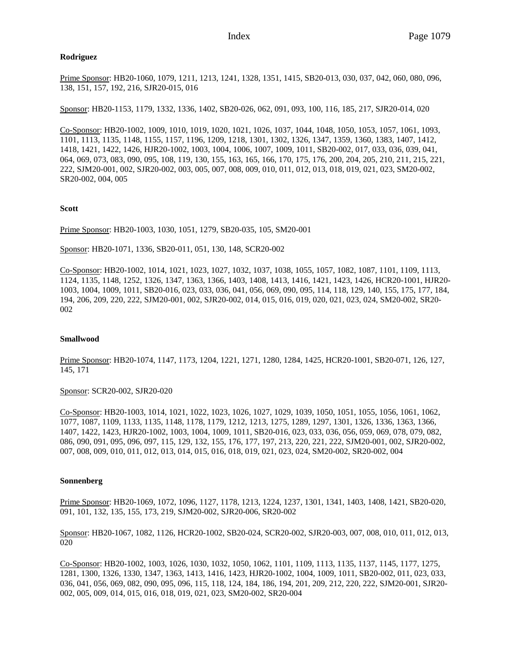# **Rodriguez**

Prime Sponsor: HB20-1060, 1079, 1211, 1213, 1241, 1328, 1351, 1415, SB20-013, 030, 037, 042, 060, 080, 096, 138, 151, 157, 192, 216, SJR20-015, 016

Sponsor: HB20-1153, 1179, 1332, 1336, 1402, SB20-026, 062, 091, 093, 100, 116, 185, 217, SJR20-014, 020

Co-Sponsor: HB20-1002, 1009, 1010, 1019, 1020, 1021, 1026, 1037, 1044, 1048, 1050, 1053, 1057, 1061, 1093, 1101, 1113, 1135, 1148, 1155, 1157, 1196, 1209, 1218, 1301, 1302, 1326, 1347, 1359, 1360, 1383, 1407, 1412, 1418, 1421, 1422, 1426, HJR20-1002, 1003, 1004, 1006, 1007, 1009, 1011, SB20-002, 017, 033, 036, 039, 041, 064, 069, 073, 083, 090, 095, 108, 119, 130, 155, 163, 165, 166, 170, 175, 176, 200, 204, 205, 210, 211, 215, 221, 222, SJM20-001, 002, SJR20-002, 003, 005, 007, 008, 009, 010, 011, 012, 013, 018, 019, 021, 023, SM20-002, SR20-002, 004, 005

# **Scott**

Prime Sponsor: HB20-1003, 1030, 1051, 1279, SB20-035, 105, SM20-001

Sponsor: HB20-1071, 1336, SB20-011, 051, 130, 148, SCR20-002

Co-Sponsor: HB20-1002, 1014, 1021, 1023, 1027, 1032, 1037, 1038, 1055, 1057, 1082, 1087, 1101, 1109, 1113, 1124, 1135, 1148, 1252, 1326, 1347, 1363, 1366, 1403, 1408, 1413, 1416, 1421, 1423, 1426, HCR20-1001, HJR20- 1003, 1004, 1009, 1011, SB20-016, 023, 033, 036, 041, 056, 069, 090, 095, 114, 118, 129, 140, 155, 175, 177, 184, 194, 206, 209, 220, 222, SJM20-001, 002, SJR20-002, 014, 015, 016, 019, 020, 021, 023, 024, SM20-002, SR20- 002

## **Smallwood**

Prime Sponsor: HB20-1074, 1147, 1173, 1204, 1221, 1271, 1280, 1284, 1425, HCR20-1001, SB20-071, 126, 127, 145, 171

## Sponsor: SCR20-002, SJR20-020

Co-Sponsor: HB20-1003, 1014, 1021, 1022, 1023, 1026, 1027, 1029, 1039, 1050, 1051, 1055, 1056, 1061, 1062, 1077, 1087, 1109, 1133, 1135, 1148, 1178, 1179, 1212, 1213, 1275, 1289, 1297, 1301, 1326, 1336, 1363, 1366, 1407, 1422, 1423, HJR20-1002, 1003, 1004, 1009, 1011, SB20-016, 023, 033, 036, 056, 059, 069, 078, 079, 082, 086, 090, 091, 095, 096, 097, 115, 129, 132, 155, 176, 177, 197, 213, 220, 221, 222, SJM20-001, 002, SJR20-002, 007, 008, 009, 010, 011, 012, 013, 014, 015, 016, 018, 019, 021, 023, 024, SM20-002, SR20-002, 004

# **Sonnenberg**

Prime Sponsor: HB20-1069, 1072, 1096, 1127, 1178, 1213, 1224, 1237, 1301, 1341, 1403, 1408, 1421, SB20-020, 091, 101, 132, 135, 155, 173, 219, SJM20-002, SJR20-006, SR20-002

Sponsor: HB20-1067, 1082, 1126, HCR20-1002, SB20-024, SCR20-002, SJR20-003, 007, 008, 010, 011, 012, 013, 020

Co-Sponsor: HB20-1002, 1003, 1026, 1030, 1032, 1050, 1062, 1101, 1109, 1113, 1135, 1137, 1145, 1177, 1275, 1281, 1300, 1326, 1330, 1347, 1363, 1413, 1416, 1423, HJR20-1002, 1004, 1009, 1011, SB20-002, 011, 023, 033, 036, 041, 056, 069, 082, 090, 095, 096, 115, 118, 124, 184, 186, 194, 201, 209, 212, 220, 222, SJM20-001, SJR20- 002, 005, 009, 014, 015, 016, 018, 019, 021, 023, SM20-002, SR20-004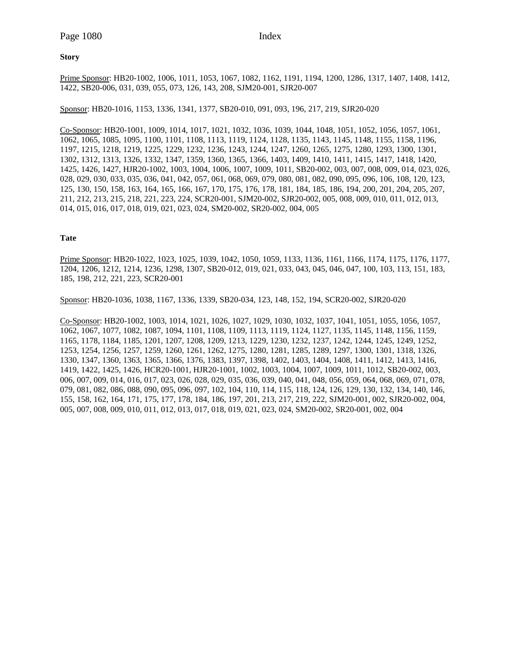# **Story**

Prime Sponsor: HB20-1002, 1006, 1011, 1053, 1067, 1082, 1162, 1191, 1194, 1200, 1286, 1317, 1407, 1408, 1412, 1422, SB20-006, 031, 039, 055, 073, 126, 143, 208, SJM20-001, SJR20-007

Sponsor: HB20-1016, 1153, 1336, 1341, 1377, SB20-010, 091, 093, 196, 217, 219, SJR20-020

Co-Sponsor: HB20-1001, 1009, 1014, 1017, 1021, 1032, 1036, 1039, 1044, 1048, 1051, 1052, 1056, 1057, 1061, 1062, 1065, 1085, 1095, 1100, 1101, 1108, 1113, 1119, 1124, 1128, 1135, 1143, 1145, 1148, 1155, 1158, 1196, 1197, 1215, 1218, 1219, 1225, 1229, 1232, 1236, 1243, 1244, 1247, 1260, 1265, 1275, 1280, 1293, 1300, 1301, 1302, 1312, 1313, 1326, 1332, 1347, 1359, 1360, 1365, 1366, 1403, 1409, 1410, 1411, 1415, 1417, 1418, 1420, 1425, 1426, 1427, HJR20-1002, 1003, 1004, 1006, 1007, 1009, 1011, SB20-002, 003, 007, 008, 009, 014, 023, 026, 028, 029, 030, 033, 035, 036, 041, 042, 057, 061, 068, 069, 079, 080, 081, 082, 090, 095, 096, 106, 108, 120, 123, 125, 130, 150, 158, 163, 164, 165, 166, 167, 170, 175, 176, 178, 181, 184, 185, 186, 194, 200, 201, 204, 205, 207, 211, 212, 213, 215, 218, 221, 223, 224, SCR20-001, SJM20-002, SJR20-002, 005, 008, 009, 010, 011, 012, 013, 014, 015, 016, 017, 018, 019, 021, 023, 024, SM20-002, SR20-002, 004, 005

## **Tate**

Prime Sponsor: HB20-1022, 1023, 1025, 1039, 1042, 1050, 1059, 1133, 1136, 1161, 1166, 1174, 1175, 1176, 1177, 1204, 1206, 1212, 1214, 1236, 1298, 1307, SB20-012, 019, 021, 033, 043, 045, 046, 047, 100, 103, 113, 151, 183, 185, 198, 212, 221, 223, SCR20-001

Sponsor: HB20-1036, 1038, 1167, 1336, 1339, SB20-034, 123, 148, 152, 194, SCR20-002, SJR20-020

Co-Sponsor: HB20-1002, 1003, 1014, 1021, 1026, 1027, 1029, 1030, 1032, 1037, 1041, 1051, 1055, 1056, 1057, 1062, 1067, 1077, 1082, 1087, 1094, 1101, 1108, 1109, 1113, 1119, 1124, 1127, 1135, 1145, 1148, 1156, 1159, 1165, 1178, 1184, 1185, 1201, 1207, 1208, 1209, 1213, 1229, 1230, 1232, 1237, 1242, 1244, 1245, 1249, 1252, 1253, 1254, 1256, 1257, 1259, 1260, 1261, 1262, 1275, 1280, 1281, 1285, 1289, 1297, 1300, 1301, 1318, 1326, 1330, 1347, 1360, 1363, 1365, 1366, 1376, 1383, 1397, 1398, 1402, 1403, 1404, 1408, 1411, 1412, 1413, 1416, 1419, 1422, 1425, 1426, HCR20-1001, HJR20-1001, 1002, 1003, 1004, 1007, 1009, 1011, 1012, SB20-002, 003, 006, 007, 009, 014, 016, 017, 023, 026, 028, 029, 035, 036, 039, 040, 041, 048, 056, 059, 064, 068, 069, 071, 078, 079, 081, 082, 086, 088, 090, 095, 096, 097, 102, 104, 110, 114, 115, 118, 124, 126, 129, 130, 132, 134, 140, 146, 155, 158, 162, 164, 171, 175, 177, 178, 184, 186, 197, 201, 213, 217, 219, 222, SJM20-001, 002, SJR20-002, 004, 005, 007, 008, 009, 010, 011, 012, 013, 017, 018, 019, 021, 023, 024, SM20-002, SR20-001, 002, 004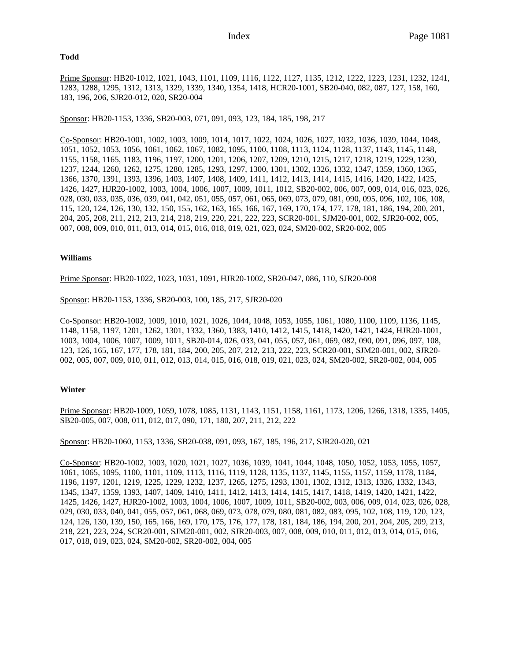#### **Todd**

Prime Sponsor: HB20-1012, 1021, 1043, 1101, 1109, 1116, 1122, 1127, 1135, 1212, 1222, 1223, 1231, 1232, 1241, 1283, 1288, 1295, 1312, 1313, 1329, 1339, 1340, 1354, 1418, HCR20-1001, SB20-040, 082, 087, 127, 158, 160, 183, 196, 206, SJR20-012, 020, SR20-004

Sponsor: HB20-1153, 1336, SB20-003, 071, 091, 093, 123, 184, 185, 198, 217

Co-Sponsor: HB20-1001, 1002, 1003, 1009, 1014, 1017, 1022, 1024, 1026, 1027, 1032, 1036, 1039, 1044, 1048, 1051, 1052, 1053, 1056, 1061, 1062, 1067, 1082, 1095, 1100, 1108, 1113, 1124, 1128, 1137, 1143, 1145, 1148, 1155, 1158, 1165, 1183, 1196, 1197, 1200, 1201, 1206, 1207, 1209, 1210, 1215, 1217, 1218, 1219, 1229, 1230, 1237, 1244, 1260, 1262, 1275, 1280, 1285, 1293, 1297, 1300, 1301, 1302, 1326, 1332, 1347, 1359, 1360, 1365, 1366, 1370, 1391, 1393, 1396, 1403, 1407, 1408, 1409, 1411, 1412, 1413, 1414, 1415, 1416, 1420, 1422, 1425, 1426, 1427, HJR20-1002, 1003, 1004, 1006, 1007, 1009, 1011, 1012, SB20-002, 006, 007, 009, 014, 016, 023, 026, 028, 030, 033, 035, 036, 039, 041, 042, 051, 055, 057, 061, 065, 069, 073, 079, 081, 090, 095, 096, 102, 106, 108, 115, 120, 124, 126, 130, 132, 150, 155, 162, 163, 165, 166, 167, 169, 170, 174, 177, 178, 181, 186, 194, 200, 201, 204, 205, 208, 211, 212, 213, 214, 218, 219, 220, 221, 222, 223, SCR20-001, SJM20-001, 002, SJR20-002, 005, 007, 008, 009, 010, 011, 013, 014, 015, 016, 018, 019, 021, 023, 024, SM20-002, SR20-002, 005

## **Williams**

Prime Sponsor: HB20-1022, 1023, 1031, 1091, HJR20-1002, SB20-047, 086, 110, SJR20-008

Sponsor: HB20-1153, 1336, SB20-003, 100, 185, 217, SJR20-020

Co-Sponsor: HB20-1002, 1009, 1010, 1021, 1026, 1044, 1048, 1053, 1055, 1061, 1080, 1100, 1109, 1136, 1145, 1148, 1158, 1197, 1201, 1262, 1301, 1332, 1360, 1383, 1410, 1412, 1415, 1418, 1420, 1421, 1424, HJR20-1001, 1003, 1004, 1006, 1007, 1009, 1011, SB20-014, 026, 033, 041, 055, 057, 061, 069, 082, 090, 091, 096, 097, 108, 123, 126, 165, 167, 177, 178, 181, 184, 200, 205, 207, 212, 213, 222, 223, SCR20-001, SJM20-001, 002, SJR20- 002, 005, 007, 009, 010, 011, 012, 013, 014, 015, 016, 018, 019, 021, 023, 024, SM20-002, SR20-002, 004, 005

## **Winter**

Prime Sponsor: HB20-1009, 1059, 1078, 1085, 1131, 1143, 1151, 1158, 1161, 1173, 1206, 1266, 1318, 1335, 1405, SB20-005, 007, 008, 011, 012, 017, 090, 171, 180, 207, 211, 212, 222

Sponsor: HB20-1060, 1153, 1336, SB20-038, 091, 093, 167, 185, 196, 217, SJR20-020, 021

Co-Sponsor: HB20-1002, 1003, 1020, 1021, 1027, 1036, 1039, 1041, 1044, 1048, 1050, 1052, 1053, 1055, 1057, 1061, 1065, 1095, 1100, 1101, 1109, 1113, 1116, 1119, 1128, 1135, 1137, 1145, 1155, 1157, 1159, 1178, 1184, 1196, 1197, 1201, 1219, 1225, 1229, 1232, 1237, 1265, 1275, 1293, 1301, 1302, 1312, 1313, 1326, 1332, 1343, 1345, 1347, 1359, 1393, 1407, 1409, 1410, 1411, 1412, 1413, 1414, 1415, 1417, 1418, 1419, 1420, 1421, 1422, 1425, 1426, 1427, HJR20-1002, 1003, 1004, 1006, 1007, 1009, 1011, SB20-002, 003, 006, 009, 014, 023, 026, 028, 029, 030, 033, 040, 041, 055, 057, 061, 068, 069, 073, 078, 079, 080, 081, 082, 083, 095, 102, 108, 119, 120, 123, 124, 126, 130, 139, 150, 165, 166, 169, 170, 175, 176, 177, 178, 181, 184, 186, 194, 200, 201, 204, 205, 209, 213, 218, 221, 223, 224, SCR20-001, SJM20-001, 002, SJR20-003, 007, 008, 009, 010, 011, 012, 013, 014, 015, 016, 017, 018, 019, 023, 024, SM20-002, SR20-002, 004, 005